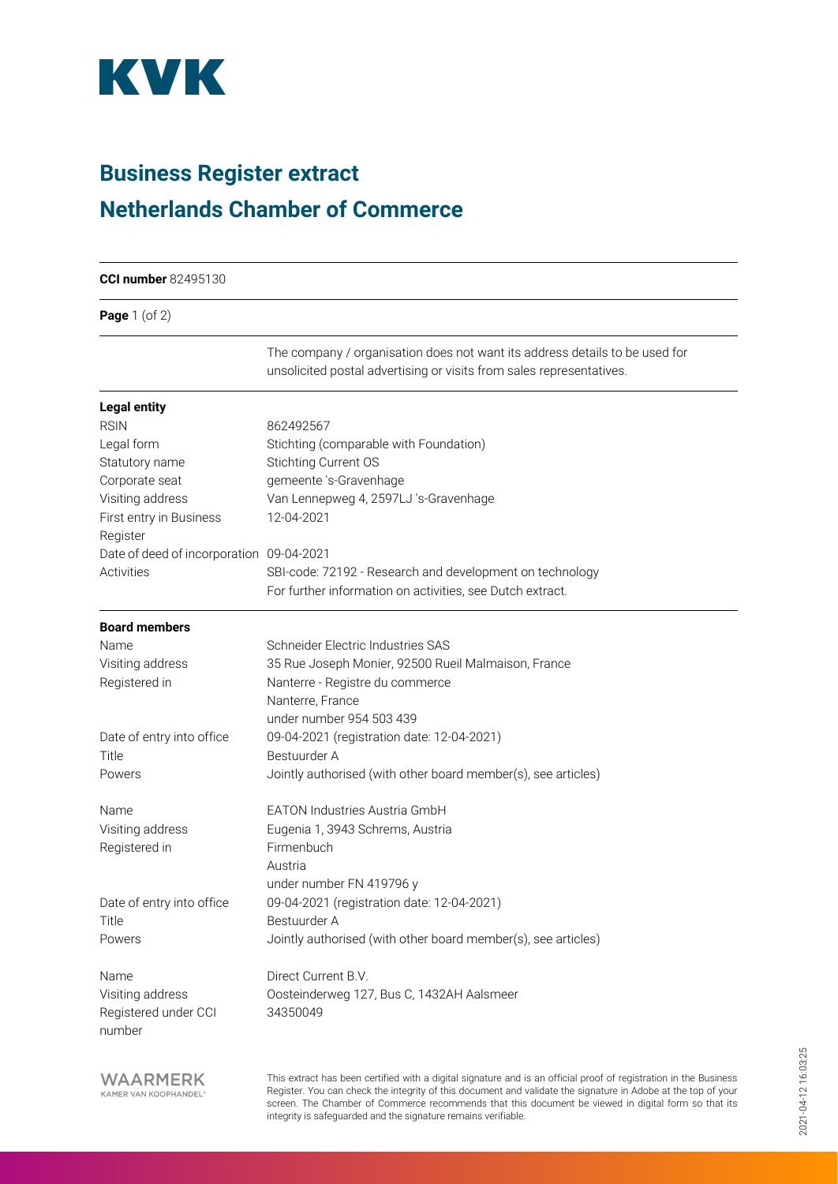

## **Business Register extract Netherlands Chamber of Commerce**

| <b>CCI number 82495130</b>               |                                                                                                                                                                                                                                    |  |
|------------------------------------------|------------------------------------------------------------------------------------------------------------------------------------------------------------------------------------------------------------------------------------|--|
| <b>Page</b> $1$ (of $2$ )                |                                                                                                                                                                                                                                    |  |
|                                          | The company / organisation does not want its address details to be used for<br>unsolicited postal advertising or visits from sales representatives.                                                                                |  |
| <b>Legal entity</b>                      |                                                                                                                                                                                                                                    |  |
| <b>RSIN</b>                              | 862492567                                                                                                                                                                                                                          |  |
| Legal form                               | Stichting (comparable with Foundation)                                                                                                                                                                                             |  |
| Statutory name                           | Stichting Current OS                                                                                                                                                                                                               |  |
| Corporate seat                           | gemeente 's-Gravenhage                                                                                                                                                                                                             |  |
| Visiting address                         | Van Lennepweg 4, 2597LJ 's-Gravenhage                                                                                                                                                                                              |  |
| First entry in Business                  | 12-04-2021                                                                                                                                                                                                                         |  |
| Register                                 |                                                                                                                                                                                                                                    |  |
| Date of deed of incorporation 09-04-2021 |                                                                                                                                                                                                                                    |  |
| Activities                               | SBI-code: 72192 - Research and development on technology                                                                                                                                                                           |  |
|                                          | For further information on activities, see Dutch extract.                                                                                                                                                                          |  |
| <b>Board members</b>                     |                                                                                                                                                                                                                                    |  |
| Name                                     | Schneider Electric Industries SAS                                                                                                                                                                                                  |  |
| Visiting address                         | 35 Rue Joseph Monier, 92500 Rueil Malmaison, France                                                                                                                                                                                |  |
| Registered in                            | Nanterre - Registre du commerce                                                                                                                                                                                                    |  |
|                                          | Nanterre, France                                                                                                                                                                                                                   |  |
|                                          | under number 954 503 439                                                                                                                                                                                                           |  |
| Date of entry into office                | 09-04-2021 (registration date: 12-04-2021)                                                                                                                                                                                         |  |
| Title                                    | Bestuurder A                                                                                                                                                                                                                       |  |
| Powers                                   | Jointly authorised (with other board member(s), see articles)                                                                                                                                                                      |  |
| Name                                     | <b>EATON Industries Austria GmbH</b>                                                                                                                                                                                               |  |
| Visiting address                         | Eugenia 1, 3943 Schrems, Austria                                                                                                                                                                                                   |  |
| Registered in                            | Firmenbuch                                                                                                                                                                                                                         |  |
|                                          | Austria                                                                                                                                                                                                                            |  |
|                                          | under number FN 419796 y                                                                                                                                                                                                           |  |
| Date of entry into office                | 09-04-2021 (registration date: 12-04-2021)                                                                                                                                                                                         |  |
| Title                                    | Bestuurder A                                                                                                                                                                                                                       |  |
| Powers                                   | Jointly authorised (with other board member(s), see articles)                                                                                                                                                                      |  |
| Name                                     | Direct Current B.V.                                                                                                                                                                                                                |  |
| Visiting address                         | Oosteinderweg 127, Bus C, 1432AH Aalsmeer                                                                                                                                                                                          |  |
| Registered under CCI<br>number           | 34350049                                                                                                                                                                                                                           |  |
| WAARMERK<br>KAMER VAN KOOPHANDEL®        | This extract has been certified with a digital signature and is an official proof of registration in the Business<br>Register. You can check the integrity of this document and validate the signature in Adobe at the top of your |  |

screen. The Chamber of Commerce recommends that this document be viewed in digital form so that its

integrity is safeguarded and the signature remains verifiable.